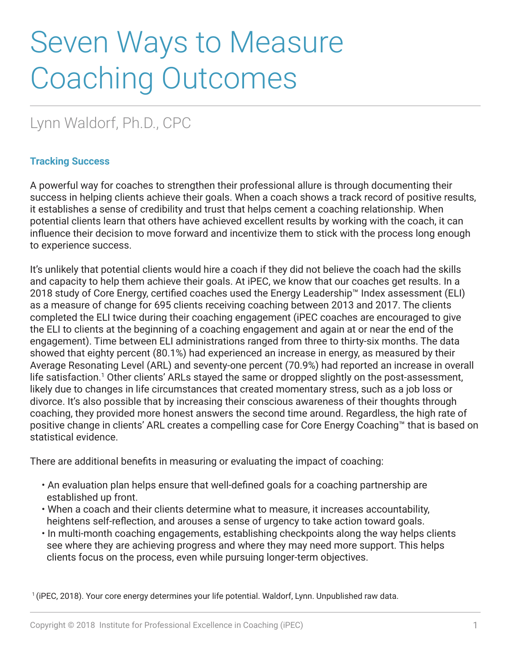# Seven Ways to Measure Coaching Outcomes

## Lynn Waldorf, Ph.D., CPC

#### **Tracking Success**

A powerful way for coaches to strengthen their professional allure is through documenting their success in helping clients achieve their goals. When a coach shows a track record of positive results, it establishes a sense of credibility and trust that helps cement a coaching relationship. When potential clients learn that others have achieved excellent results by working with the coach, it can influence their decision to move forward and incentivize them to stick with the process long enough to experience success.

It's unlikely that potential clients would hire a coach if they did not believe the coach had the skills and capacity to help them achieve their goals. At iPEC, we know that our coaches get results. In a 2018 study of Core Energy, certified coaches used the Energy Leadership™ Index assessment (ELI) as a measure of change for 695 clients receiving coaching between 2013 and 2017. The clients completed the ELI twice during their coaching engagement (iPEC coaches are encouraged to give the ELI to clients at the beginning of a coaching engagement and again at or near the end of the engagement). Time between ELI administrations ranged from three to thirty-six months. The data showed that eighty percent (80.1%) had experienced an increase in energy, as measured by their Average Resonating Level (ARL) and seventy-one percent (70.9%) had reported an increase in overall life satisfaction.<sup>1</sup> Other clients' ARLs stayed the same or dropped slightly on the post-assessment, likely due to changes in life circumstances that created momentary stress, such as a job loss or divorce. It's also possible that by increasing their conscious awareness of their thoughts through coaching, they provided more honest answers the second time around. Regardless, the high rate of positive change in clients' ARL creates a compelling case for Core Energy Coaching™ that is based on statistical evidence.

There are additional benefits in measuring or evaluating the impact of coaching:

- An evaluation plan helps ensure that well-defined goals for a coaching partnership are established up front.
- When a coach and their clients determine what to measure, it increases accountability, heightens self-reflection, and arouses a sense of urgency to take action toward goals.
- In multi-month coaching engagements, establishing checkpoints along the way helps clients see where they are achieving progress and where they may need more support. This helps clients focus on the process, even while pursuing longer-term objectives.

1 (iPEC, 2018). Your core energy determines your life potential. Waldorf, Lynn. Unpublished raw data.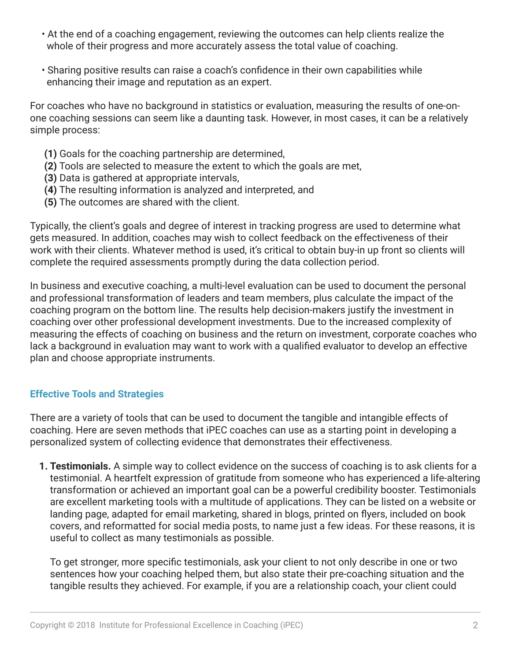- At the end of a coaching engagement, reviewing the outcomes can help clients realize the whole of their progress and more accurately assess the total value of coaching.
- Sharing positive results can raise a coach's confidence in their own capabilities while enhancing their image and reputation as an expert.

For coaches who have no background in statistics or evaluation, measuring the results of one-onone coaching sessions can seem like a daunting task. However, in most cases, it can be a relatively simple process:

- **(1)** Goals for the coaching partnership are determined,
- **(2)** Tools are selected to measure the extent to which the goals are met,
- **(3)** Data is gathered at appropriate intervals,
- **(4)** The resulting information is analyzed and interpreted, and
- **(5)** The outcomes are shared with the client.

Typically, the client's goals and degree of interest in tracking progress are used to determine what gets measured. In addition, coaches may wish to collect feedback on the effectiveness of their work with their clients. Whatever method is used, it's critical to obtain buy-in up front so clients will complete the required assessments promptly during the data collection period.

In business and executive coaching, a multi-level evaluation can be used to document the personal and professional transformation of leaders and team members, plus calculate the impact of the coaching program on the bottom line. The results help decision-makers justify the investment in coaching over other professional development investments. Due to the increased complexity of measuring the effects of coaching on business and the return on investment, corporate coaches who lack a background in evaluation may want to work with a qualified evaluator to develop an effective plan and choose appropriate instruments.

### **Effective Tools and Strategies**

There are a variety of tools that can be used to document the tangible and intangible effects of coaching. Here are seven methods that iPEC coaches can use as a starting point in developing a personalized system of collecting evidence that demonstrates their effectiveness.

**1. Testimonials.** A simple way to collect evidence on the success of coaching is to ask clients for a testimonial. A heartfelt expression of gratitude from someone who has experienced a life-altering transformation or achieved an important goal can be a powerful credibility booster. Testimonials are excellent marketing tools with a multitude of applications. They can be listed on a website or landing page, adapted for email marketing, shared in blogs, printed on flyers, included on book covers, and reformatted for social media posts, to name just a few ideas. For these reasons, it is useful to collect as many testimonials as possible.

To get stronger, more specific testimonials, ask your client to not only describe in one or two sentences how your coaching helped them, but also state their pre-coaching situation and the tangible results they achieved. For example, if you are a relationship coach, your client could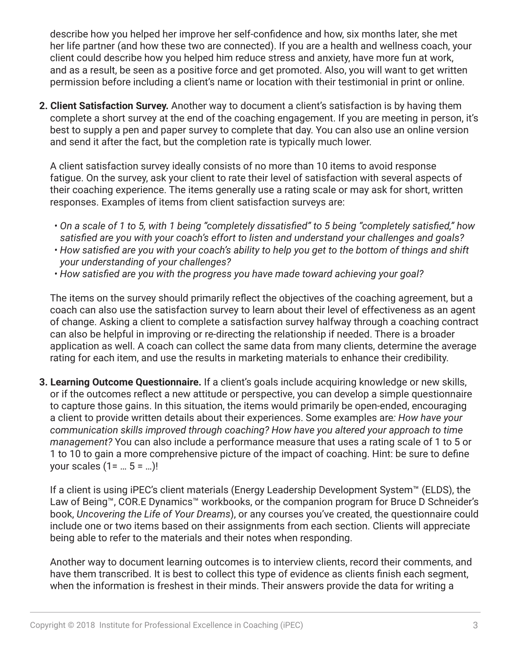describe how you helped her improve her self-confidence and how, six months later, she met her life partner (and how these two are connected). If you are a health and wellness coach, your client could describe how you helped him reduce stress and anxiety, have more fun at work, and as a result, be seen as a positive force and get promoted. Also, you will want to get written permission before including a client's name or location with their testimonial in print or online.

**2. Client Satisfaction Survey.** Another way to document a client's satisfaction is by having them complete a short survey at the end of the coaching engagement. If you are meeting in person, it's best to supply a pen and paper survey to complete that day. You can also use an online version and send it after the fact, but the completion rate is typically much lower.

A client satisfaction survey ideally consists of no more than 10 items to avoid response fatigue. On the survey, ask your client to rate their level of satisfaction with several aspects of their coaching experience. The items generally use a rating scale or may ask for short, written responses. Examples of items from client satisfaction surveys are:

- *On a scale of 1 to 5, with 1 being "completely dissatisfied" to 5 being "completely satisfied," how satisfied are you with your coach's effort to listen and understand your challenges and goals?*
- *How satisfied are you with your coach's ability to help you get to the bottom of things and shift your understanding of your challenges?*
- *How satisfied are you with the progress you have made toward achieving your goal?*

The items on the survey should primarily reflect the objectives of the coaching agreement, but a coach can also use the satisfaction survey to learn about their level of effectiveness as an agent of change. Asking a client to complete a satisfaction survey halfway through a coaching contract can also be helpful in improving or re-directing the relationship if needed. There is a broader application as well. A coach can collect the same data from many clients, determine the average rating for each item, and use the results in marketing materials to enhance their credibility.

**3. Learning Outcome Questionnaire.** If a client's goals include acquiring knowledge or new skills, or if the outcomes reflect a new attitude or perspective, you can develop a simple questionnaire to capture those gains. In this situation, the items would primarily be open-ended, encouraging a client to provide written details about their experiences. Some examples are*: How have your communication skills improved through coaching? How have you altered your approach to time management?* You can also include a performance measure that uses a rating scale of 1 to 5 or 1 to 10 to gain a more comprehensive picture of the impact of coaching. Hint: be sure to define your scales  $(1 = ... 5 = ...)!$ 

If a client is using iPEC's client materials (Energy Leadership Development System™ (ELDS), the Law of Being™, COR.E Dynamics™ workbooks, or the companion program for Bruce D Schneider's book, *Uncovering the Life of Your Dreams*), or any courses you've created, the questionnaire could include one or two items based on their assignments from each section. Clients will appreciate being able to refer to the materials and their notes when responding.

Another way to document learning outcomes is to interview clients, record their comments, and have them transcribed. It is best to collect this type of evidence as clients finish each segment, when the information is freshest in their minds. Their answers provide the data for writing a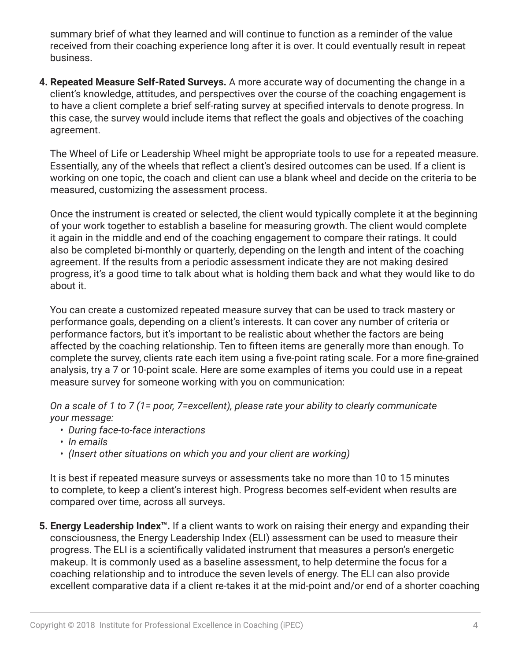summary brief of what they learned and will continue to function as a reminder of the value received from their coaching experience long after it is over. It could eventually result in repeat business.

**4. Repeated Measure Self-Rated Surveys.** A more accurate way of documenting the change in a client's knowledge, attitudes, and perspectives over the course of the coaching engagement is to have a client complete a brief self-rating survey at specified intervals to denote progress. In this case, the survey would include items that reflect the goals and objectives of the coaching agreement.

The Wheel of Life or Leadership Wheel might be appropriate tools to use for a repeated measure. Essentially, any of the wheels that reflect a client's desired outcomes can be used. If a client is working on one topic, the coach and client can use a blank wheel and decide on the criteria to be measured, customizing the assessment process.

Once the instrument is created or selected, the client would typically complete it at the beginning of your work together to establish a baseline for measuring growth. The client would complete it again in the middle and end of the coaching engagement to compare their ratings. It could also be completed bi-monthly or quarterly, depending on the length and intent of the coaching agreement. If the results from a periodic assessment indicate they are not making desired progress, it's a good time to talk about what is holding them back and what they would like to do about it.

You can create a customized repeated measure survey that can be used to track mastery or performance goals, depending on a client's interests. It can cover any number of criteria or performance factors, but it's important to be realistic about whether the factors are being affected by the coaching relationship. Ten to fifteen items are generally more than enough. To complete the survey, clients rate each item using a five-point rating scale. For a more fine-grained analysis, try a 7 or 10-point scale. Here are some examples of items you could use in a repeat measure survey for someone working with you on communication:

*On a scale of 1 to 7 (1= poor, 7=excellent), please rate your ability to clearly communicate your message:*

- *During face-to-face interactions*
- *In emails*
- *(Insert other situations on which you and your client are working)*

It is best if repeated measure surveys or assessments take no more than 10 to 15 minutes to complete, to keep a client's interest high. Progress becomes self-evident when results are compared over time, across all surveys.

**5. Energy Leadership Index™.** If a client wants to work on raising their energy and expanding their consciousness, the Energy Leadership Index (ELI) assessment can be used to measure their progress. The ELI is a scientifically validated instrument that measures a person's energetic makeup. It is commonly used as a baseline assessment, to help determine the focus for a coaching relationship and to introduce the seven levels of energy. The ELI can also provide excellent comparative data if a client re-takes it at the mid-point and/or end of a shorter coaching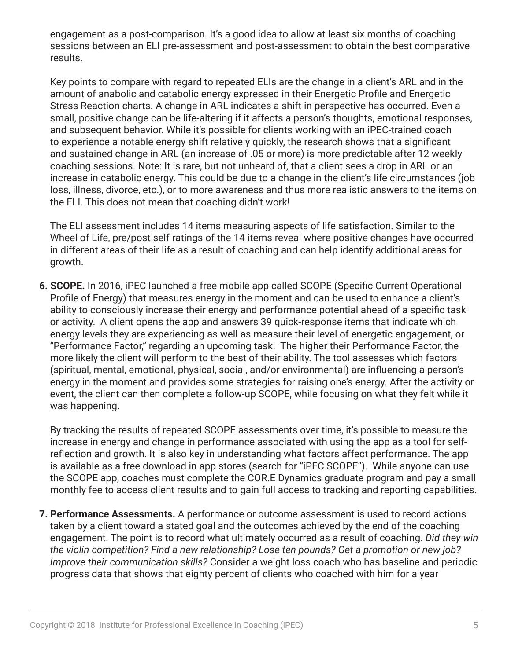engagement as a post-comparison. It's a good idea to allow at least six months of coaching sessions between an ELI pre-assessment and post-assessment to obtain the best comparative results.

Key points to compare with regard to repeated ELIs are the change in a client's ARL and in the amount of anabolic and catabolic energy expressed in their Energetic Profile and Energetic Stress Reaction charts. A change in ARL indicates a shift in perspective has occurred. Even a small, positive change can be life-altering if it affects a person's thoughts, emotional responses, and subsequent behavior. While it's possible for clients working with an iPEC-trained coach to experience a notable energy shift relatively quickly, the research shows that a significant and sustained change in ARL (an increase of .05 or more) is more predictable after 12 weekly coaching sessions. Note: It is rare, but not unheard of, that a client sees a drop in ARL or an increase in catabolic energy. This could be due to a change in the client's life circumstances (job loss, illness, divorce, etc.), or to more awareness and thus more realistic answers to the items on the ELI. This does not mean that coaching didn't work!

The ELI assessment includes 14 items measuring aspects of life satisfaction. Similar to the Wheel of Life, pre/post self-ratings of the 14 items reveal where positive changes have occurred in different areas of their life as a result of coaching and can help identify additional areas for growth.

**6. SCOPE.** In 2016, iPEC launched a free mobile app called SCOPE (Specific Current Operational Profile of Energy) that measures energy in the moment and can be used to enhance a client's ability to consciously increase their energy and performance potential ahead of a specific task or activity. A client opens the app and answers 39 quick-response items that indicate which energy levels they are experiencing as well as measure their level of energetic engagement, or "Performance Factor," regarding an upcoming task. The higher their Performance Factor, the more likely the client will perform to the best of their ability. The tool assesses which factors (spiritual, mental, emotional, physical, social, and/or environmental) are influencing a person's energy in the moment and provides some strategies for raising one's energy. After the activity or event, the client can then complete a follow-up SCOPE, while focusing on what they felt while it was happening.

By tracking the results of repeated SCOPE assessments over time, it's possible to measure the increase in energy and change in performance associated with using the app as a tool for selfreflection and growth. It is also key in understanding what factors affect performance. The app is available as a free download in app stores (search for "iPEC SCOPE"). While anyone can use the SCOPE app, coaches must complete the COR.E Dynamics graduate program and pay a small monthly fee to access client results and to gain full access to tracking and reporting capabilities.

**7. Performance Assessments.** A performance or outcome assessment is used to record actions taken by a client toward a stated goal and the outcomes achieved by the end of the coaching engagement. The point is to record what ultimately occurred as a result of coaching. *Did they win the violin competition? Find a new relationship? Lose ten pounds? Get a promotion or new job? Improve their communication skills?* Consider a weight loss coach who has baseline and periodic progress data that shows that eighty percent of clients who coached with him for a year